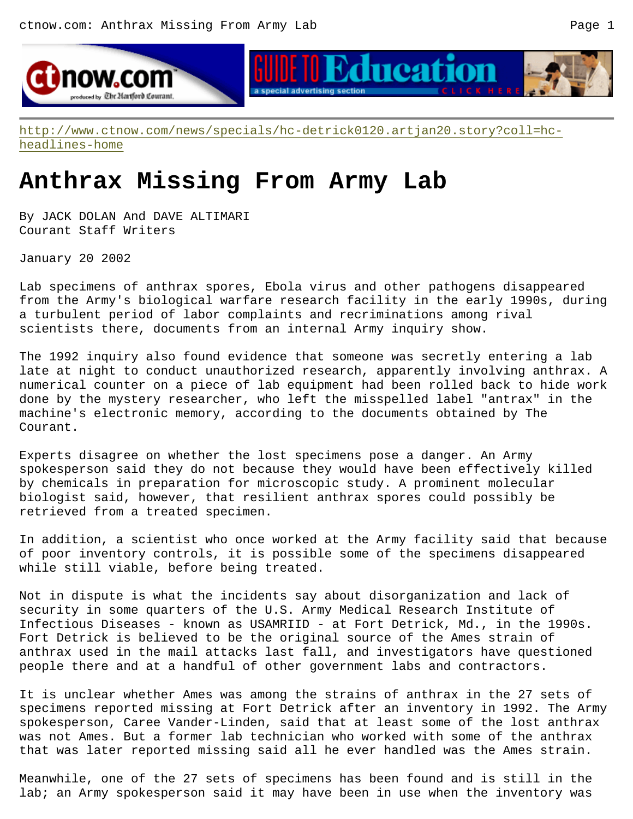



http://www.ctnow.com/news/specials/hc-detrick0120.artjan20.story?coll=hcheadlines-home

## **Anthrax Missing From Army Lab**

By JACK DOLAN And DAVE ALTIMARI Courant Staff Writers

January 20 2002

Lab specimens of anthrax spores, Ebola virus and other pathogens disappeared from the Army's biological warfare research facility in the early 1990s, during a turbulent period of labor complaints and recriminations among rival scientists there, documents from an internal Army inquiry show.

The 1992 inquiry also found evidence that someone was secretly entering a lab late at night to conduct unauthorized research, apparently involving anthrax. A numerical counter on a piece of lab equipment had been rolled back to hide work done by the mystery researcher, who left the misspelled label "antrax" in the machine's electronic memory, according to the documents obtained by The Courant.

Experts disagree on whether the lost specimens pose a danger. An Army spokesperson said they do not because they would have been effectively killed by chemicals in preparation for microscopic study. A prominent molecular biologist said, however, that resilient anthrax spores could possibly be retrieved from a treated specimen.

In addition, a scientist who once worked at the Army facility said that because of poor inventory controls, it is possible some of the specimens disappeared while still viable, before being treated.

Not in dispute is what the incidents say about disorganization and lack of security in some quarters of the U.S. Army Medical Research Institute of Infectious Diseases - known as USAMRIID - at Fort Detrick, Md., in the 1990s. Fort Detrick is believed to be the original source of the Ames strain of anthrax used in the mail attacks last fall, and investigators have questioned people there and at a handful of other government labs and contractors.

It is unclear whether Ames was among the strains of anthrax in the 27 sets of specimens reported missing at Fort Detrick after an inventory in 1992. The Army spokesperson, Caree Vander-Linden, said that at least some of the lost anthrax was not Ames. But a former lab technician who worked with some of the anthrax that was later reported missing said all he ever handled was the Ames strain.

Meanwhile, one of the 27 sets of specimens has been found and is still in the lab; an Army spokesperson said it may have been in use when the inventory was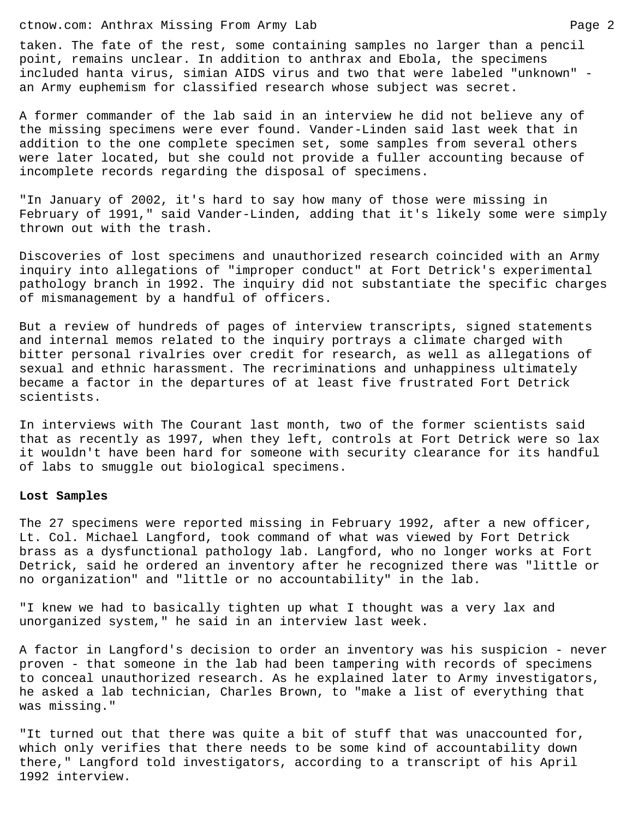## ctnow.com: Anthrax Missing From Army Lab Page 2

taken. The fate of the rest, some containing samples no larger than a pencil point, remains unclear. In addition to anthrax and Ebola, the specimens included hanta virus, simian AIDS virus and two that were labeled "unknown" an Army euphemism for classified research whose subject was secret.

A former commander of the lab said in an interview he did not believe any of the missing specimens were ever found. Vander-Linden said last week that in addition to the one complete specimen set, some samples from several others were later located, but she could not provide a fuller accounting because of incomplete records regarding the disposal of specimens.

"In January of 2002, it's hard to say how many of those were missing in February of 1991," said Vander-Linden, adding that it's likely some were simply thrown out with the trash.

Discoveries of lost specimens and unauthorized research coincided with an Army inquiry into allegations of "improper conduct" at Fort Detrick's experimental pathology branch in 1992. The inquiry did not substantiate the specific charges of mismanagement by a handful of officers.

But a review of hundreds of pages of interview transcripts, signed statements and internal memos related to the inquiry portrays a climate charged with bitter personal rivalries over credit for research, as well as allegations of sexual and ethnic harassment. The recriminations and unhappiness ultimately became a factor in the departures of at least five frustrated Fort Detrick scientists.

In interviews with The Courant last month, two of the former scientists said that as recently as 1997, when they left, controls at Fort Detrick were so lax it wouldn't have been hard for someone with security clearance for its handful of labs to smuggle out biological specimens.

## **Lost Samples**

The 27 specimens were reported missing in February 1992, after a new officer, Lt. Col. Michael Langford, took command of what was viewed by Fort Detrick brass as a dysfunctional pathology lab. Langford, who no longer works at Fort Detrick, said he ordered an inventory after he recognized there was "little or no organization" and "little or no accountability" in the lab.

"I knew we had to basically tighten up what I thought was a very lax and unorganized system," he said in an interview last week.

A factor in Langford's decision to order an inventory was his suspicion - never proven - that someone in the lab had been tampering with records of specimens to conceal unauthorized research. As he explained later to Army investigators, he asked a lab technician, Charles Brown, to "make a list of everything that was missing."

"It turned out that there was quite a bit of stuff that was unaccounted for, which only verifies that there needs to be some kind of accountability down there," Langford told investigators, according to a transcript of his April 1992 interview.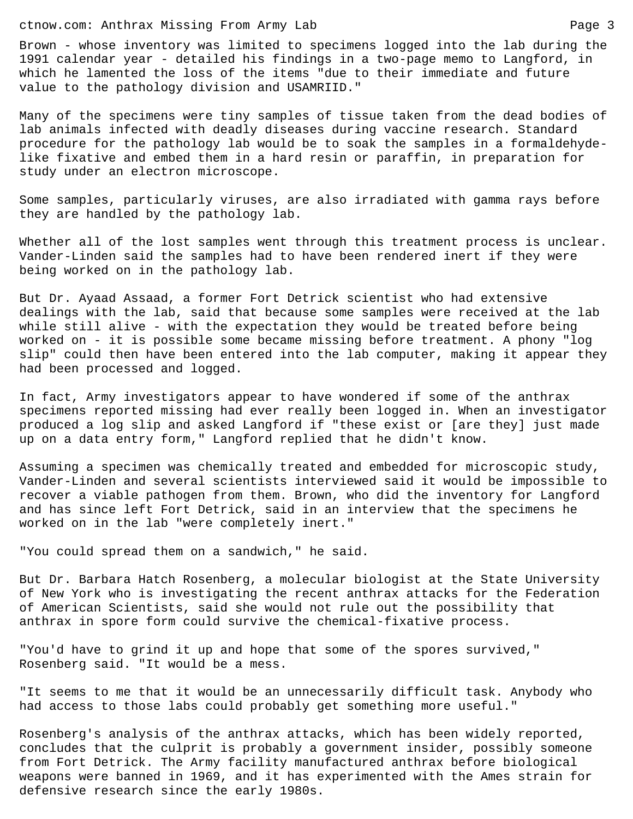ctnow.com: Anthrax Missing From Army Lab Page 3

Brown - whose inventory was limited to specimens logged into the lab during the 1991 calendar year - detailed his findings in a two-page memo to Langford, in which he lamented the loss of the items "due to their immediate and future value to the pathology division and USAMRIID."

Many of the specimens were tiny samples of tissue taken from the dead bodies of lab animals infected with deadly diseases during vaccine research. Standard procedure for the pathology lab would be to soak the samples in a formaldehydelike fixative and embed them in a hard resin or paraffin, in preparation for study under an electron microscope.

Some samples, particularly viruses, are also irradiated with gamma rays before they are handled by the pathology lab.

Whether all of the lost samples went through this treatment process is unclear. Vander-Linden said the samples had to have been rendered inert if they were being worked on in the pathology lab.

But Dr. Ayaad Assaad, a former Fort Detrick scientist who had extensive dealings with the lab, said that because some samples were received at the lab while still alive - with the expectation they would be treated before being worked on - it is possible some became missing before treatment. A phony "log slip" could then have been entered into the lab computer, making it appear they had been processed and logged.

In fact, Army investigators appear to have wondered if some of the anthrax specimens reported missing had ever really been logged in. When an investigator produced a log slip and asked Langford if "these exist or [are they] just made up on a data entry form," Langford replied that he didn't know.

Assuming a specimen was chemically treated and embedded for microscopic study, Vander-Linden and several scientists interviewed said it would be impossible to recover a viable pathogen from them. Brown, who did the inventory for Langford and has since left Fort Detrick, said in an interview that the specimens he worked on in the lab "were completely inert."

"You could spread them on a sandwich," he said.

But Dr. Barbara Hatch Rosenberg, a molecular biologist at the State University of New York who is investigating the recent anthrax attacks for the Federation of American Scientists, said she would not rule out the possibility that anthrax in spore form could survive the chemical-fixative process.

"You'd have to grind it up and hope that some of the spores survived," Rosenberg said. "It would be a mess.

"It seems to me that it would be an unnecessarily difficult task. Anybody who had access to those labs could probably get something more useful."

Rosenberg's analysis of the anthrax attacks, which has been widely reported, concludes that the culprit is probably a government insider, possibly someone from Fort Detrick. The Army facility manufactured anthrax before biological weapons were banned in 1969, and it has experimented with the Ames strain for defensive research since the early 1980s.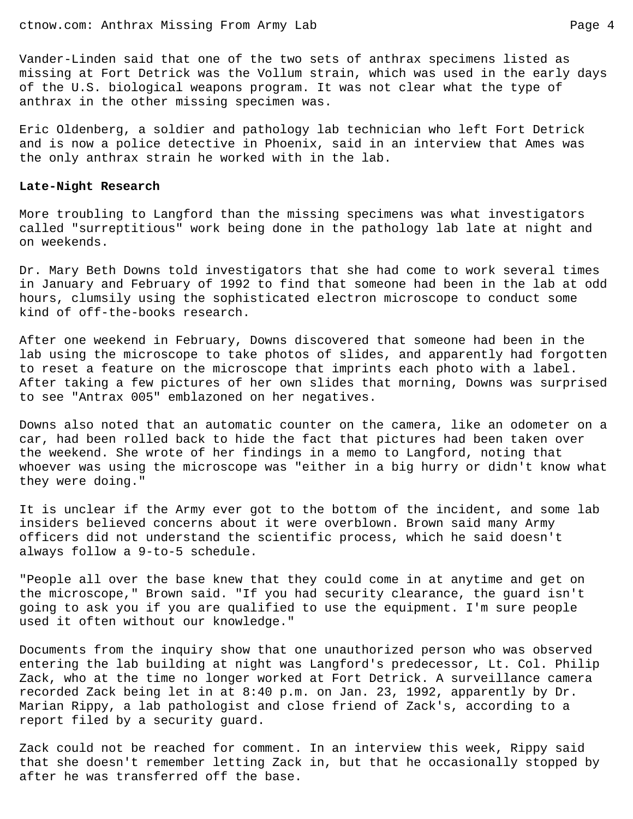Vander-Linden said that one of the two sets of anthrax specimens listed as missing at Fort Detrick was the Vollum strain, which was used in the early days of the U.S. biological weapons program. It was not clear what the type of anthrax in the other missing specimen was.

Eric Oldenberg, a soldier and pathology lab technician who left Fort Detrick and is now a police detective in Phoenix, said in an interview that Ames was the only anthrax strain he worked with in the lab.

## **Late-Night Research**

More troubling to Langford than the missing specimens was what investigators called "surreptitious" work being done in the pathology lab late at night and on weekends.

Dr. Mary Beth Downs told investigators that she had come to work several times in January and February of 1992 to find that someone had been in the lab at odd hours, clumsily using the sophisticated electron microscope to conduct some kind of off-the-books research.

After one weekend in February, Downs discovered that someone had been in the lab using the microscope to take photos of slides, and apparently had forgotten to reset a feature on the microscope that imprints each photo with a label. After taking a few pictures of her own slides that morning, Downs was surprised to see "Antrax 005" emblazoned on her negatives.

Downs also noted that an automatic counter on the camera, like an odometer on a car, had been rolled back to hide the fact that pictures had been taken over the weekend. She wrote of her findings in a memo to Langford, noting that whoever was using the microscope was "either in a big hurry or didn't know what they were doing."

It is unclear if the Army ever got to the bottom of the incident, and some lab insiders believed concerns about it were overblown. Brown said many Army officers did not understand the scientific process, which he said doesn't always follow a 9-to-5 schedule.

"People all over the base knew that they could come in at anytime and get on the microscope," Brown said. "If you had security clearance, the guard isn't going to ask you if you are qualified to use the equipment. I'm sure people used it often without our knowledge."

Documents from the inquiry show that one unauthorized person who was observed entering the lab building at night was Langford's predecessor, Lt. Col. Philip Zack, who at the time no longer worked at Fort Detrick. A surveillance camera recorded Zack being let in at 8:40 p.m. on Jan. 23, 1992, apparently by Dr. Marian Rippy, a lab pathologist and close friend of Zack's, according to a report filed by a security guard.

Zack could not be reached for comment. In an interview this week, Rippy said that she doesn't remember letting Zack in, but that he occasionally stopped by after he was transferred off the base.